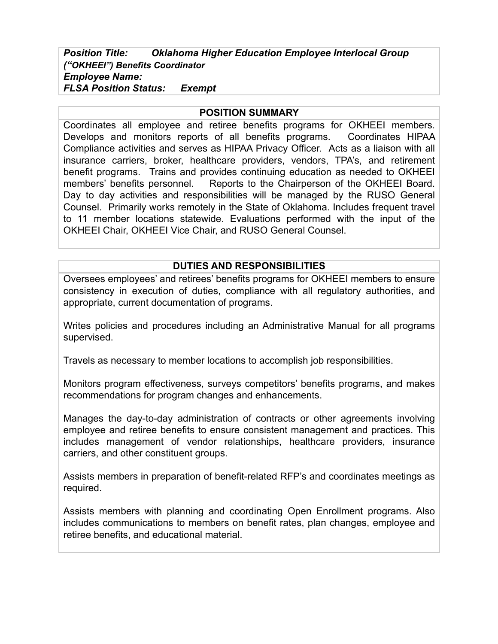## *Position Title: Oklahoma Higher Education Employee Interlocal Group ("OKHEEI") Benefits Coordinator Employee Name: FLSA Position Status: Exempt*

#### **POSITION SUMMARY**

Coordinates all employee and retiree benefits programs for OKHEEI members. Develops and monitors reports of all benefits programs. Coordinates HIPAA Compliance activities and serves as HIPAA Privacy Officer. Acts as a liaison with all insurance carriers, broker, healthcare providers, vendors, TPA's, and retirement benefit programs. Trains and provides continuing education as needed to OKHEEI members' benefits personnel. Reports to the Chairperson of the OKHEEI Board. Day to day activities and responsibilities will be managed by the RUSO General Counsel. Primarily works remotely in the State of Oklahoma. Includes frequent travel to 11 member locations statewide. Evaluations performed with the input of the OKHEEI Chair, OKHEEI Vice Chair, and RUSO General Counsel.

#### **DUTIES AND RESPONSIBILITIES**

Oversees employees' and retirees' benefits programs for OKHEEI members to ensure consistency in execution of duties, compliance with all regulatory authorities, and appropriate, current documentation of programs.

Writes policies and procedures including an Administrative Manual for all programs supervised.

Travels as necessary to member locations to accomplish job responsibilities.

Monitors program effectiveness, surveys competitors' benefits programs, and makes recommendations for program changes and enhancements.

Manages the day-to-day administration of contracts or other agreements involving employee and retiree benefits to ensure consistent management and practices. This includes management of vendor relationships, healthcare providers, insurance carriers, and other constituent groups.

Assists members in preparation of benefit-related RFP's and coordinates meetings as required.

Assists members with planning and coordinating Open Enrollment programs. Also includes communications to members on benefit rates, plan changes, employee and retiree benefits, and educational material.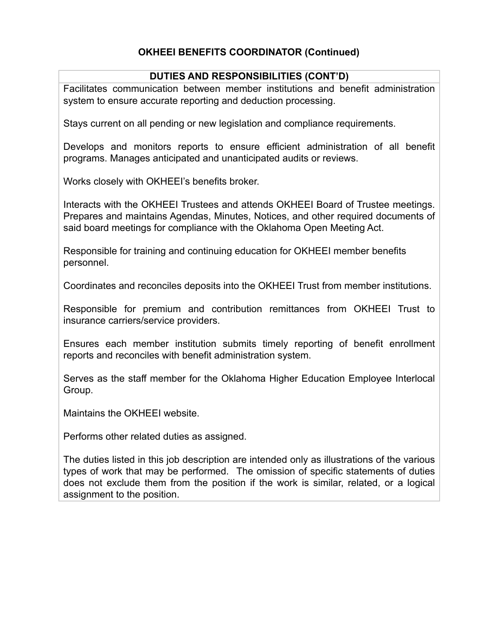# **OKHEEI BENEFITS COORDINATOR (Continued)**

### **DUTIES AND RESPONSIBILITIES (CONT'D)**

Facilitates communication between member institutions and benefit administration system to ensure accurate reporting and deduction processing.

Stays current on all pending or new legislation and compliance requirements.

Develops and monitors reports to ensure efficient administration of all benefit programs. Manages anticipated and unanticipated audits or reviews.

Works closely with OKHEEI's benefits broker.

Interacts with the OKHEEI Trustees and attends OKHEEI Board of Trustee meetings. Prepares and maintains Agendas, Minutes, Notices, and other required documents of said board meetings for compliance with the Oklahoma Open Meeting Act.

Responsible for training and continuing education for OKHEEI member benefits personnel.

Coordinates and reconciles deposits into the OKHEEI Trust from member institutions.

Responsible for premium and contribution remittances from OKHEEI Trust to insurance carriers/service providers.

Ensures each member institution submits timely reporting of benefit enrollment reports and reconciles with benefit administration system.

Serves as the staff member for the Oklahoma Higher Education Employee Interlocal Group.

Maintains the OKHEEI website.

Performs other related duties as assigned.

The duties listed in this job description are intended only as illustrations of the various types of work that may be performed. The omission of specific statements of duties does not exclude them from the position if the work is similar, related, or a logical assignment to the position.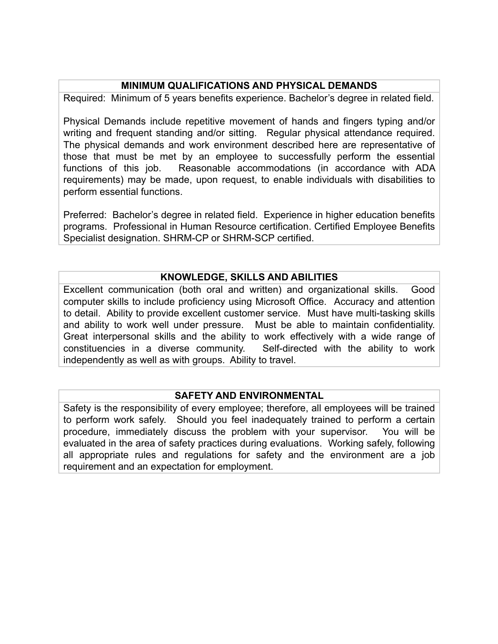#### **MINIMUM QUALIFICATIONS AND PHYSICAL DEMANDS**

Required: Minimum of 5 years benefits experience. Bachelor's degree in related field.

Physical Demands include repetitive movement of hands and fingers typing and/or writing and frequent standing and/or sitting. Regular physical attendance required. The physical demands and work environment described here are representative of those that must be met by an employee to successfully perform the essential functions of this job. Reasonable accommodations (in accordance with ADA requirements) may be made, upon request, to enable individuals with disabilities to perform essential functions.

Preferred: Bachelor's degree in related field. Experience in higher education benefits programs. Professional in Human Resource certification. Certified Employee Benefits Specialist designation. SHRM-CP or SHRM-SCP certified.

#### **KNOWLEDGE, SKILLS AND ABILITIES**

Excellent communication (both oral and written) and organizational skills. Good computer skills to include proficiency using Microsoft Office. Accuracy and attention to detail. Ability to provide excellent customer service. Must have multi-tasking skills and ability to work well under pressure. Must be able to maintain confidentiality. Great interpersonal skills and the ability to work effectively with a wide range of constituencies in a diverse community. Self-directed with the ability to work independently as well as with groups. Ability to travel.

#### **SAFETY AND ENVIRONMENTAL**

Safety is the responsibility of every employee; therefore, all employees will be trained to perform work safely. Should you feel inadequately trained to perform a certain procedure, immediately discuss the problem with your supervisor. You will be evaluated in the area of safety practices during evaluations. Working safely, following all appropriate rules and regulations for safety and the environment are a job requirement and an expectation for employment.